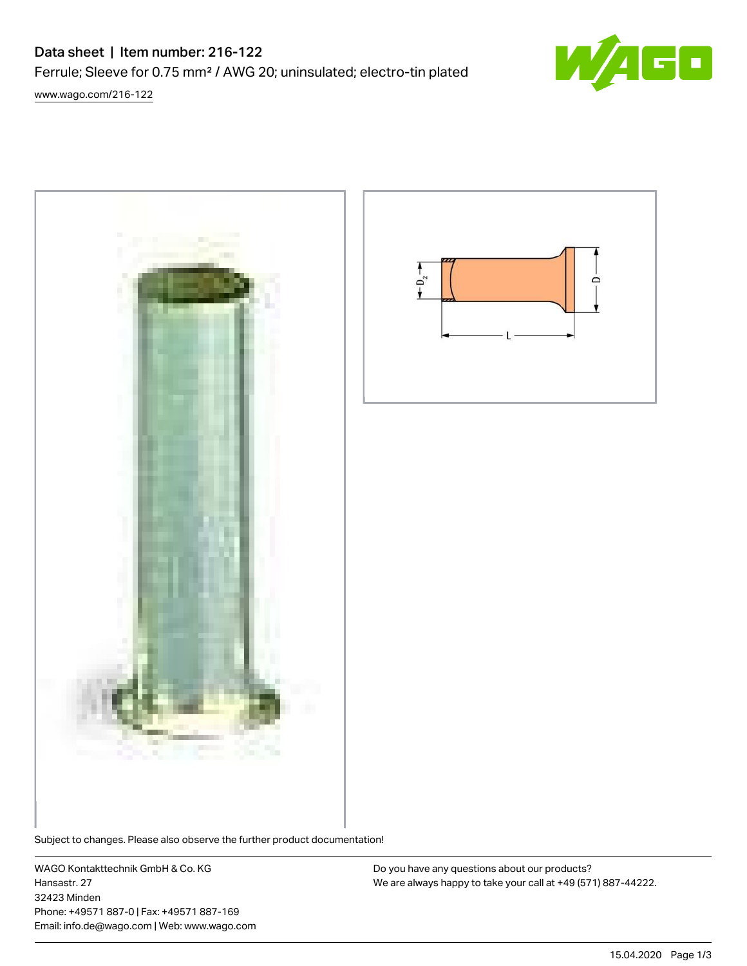# Data sheet | Item number: 216-122

Ferrule; Sleeve for 0.75 mm² / AWG 20; uninsulated; electro-tin plated



[www.wago.com/216-122](http://www.wago.com/216-122)



Subject to changes. Please also observe the further product documentation!

WAGO Kontakttechnik GmbH & Co. KG Hansastr. 27 32423 Minden Phone: +49571 887-0 | Fax: +49571 887-169 Email: info.de@wago.com | Web: www.wago.com

Do you have any questions about our products? We are always happy to take your call at +49 (571) 887-44222.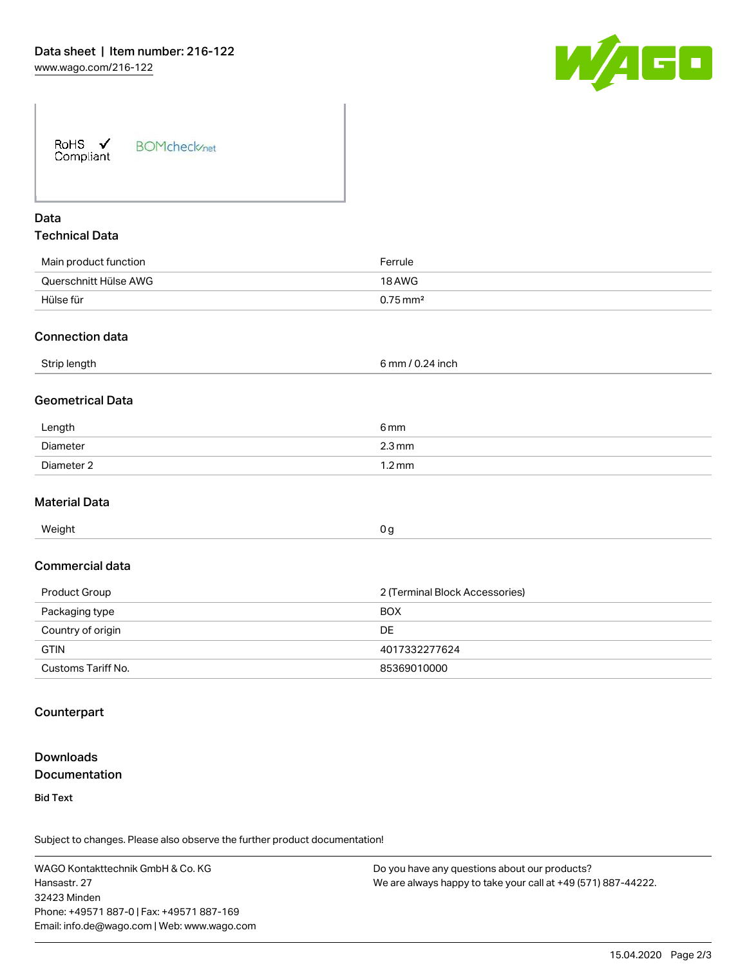

| RoHS $\checkmark$ | <b>BOMcheck</b> <sub>net</sub> |
|-------------------|--------------------------------|
| Compliant         |                                |

# Data Technical Data

| Main product function | Ferrule                |
|-----------------------|------------------------|
| Querschnitt Hülse AWG | 18 AWG                 |
| Hülse für             | $0.75 \,\mathrm{mm}^2$ |
|                       |                        |

#### Connection data

| <b>Strir</b><br>ັ<br>$\sim$ | i mm<br>nch. |  |
|-----------------------------|--------------|--|
|                             |              |  |

# Geometrical Data

| Length     | 6 <sub>mm</sub>     |
|------------|---------------------|
| Diameter   | $2.3 \,\mathrm{mm}$ |
| Diameter 2 | $1.2 \,\mathrm{mm}$ |

#### Material Data

| Weight | 0 a |  |
|--------|-----|--|

#### Commercial data

| Product Group      | 2 (Terminal Block Accessories) |  |
|--------------------|--------------------------------|--|
| Packaging type     | <b>BOX</b>                     |  |
| Country of origin  | <b>DE</b>                      |  |
| <b>GTIN</b>        | 4017332277624                  |  |
| Customs Tariff No. | 85369010000                    |  |

## **Counterpart**

# Downloads **Documentation**

Bid Text

Subject to changes. Please also observe the further product documentation!

WAGO Kontakttechnik GmbH & Co. KG Hansastr. 27 32423 Minden Phone: +49571 887-0 | Fax: +49571 887-169 Email: info.de@wago.com | Web: www.wago.com Do you have any questions about our products? We are always happy to take your call at +49 (571) 887-44222.